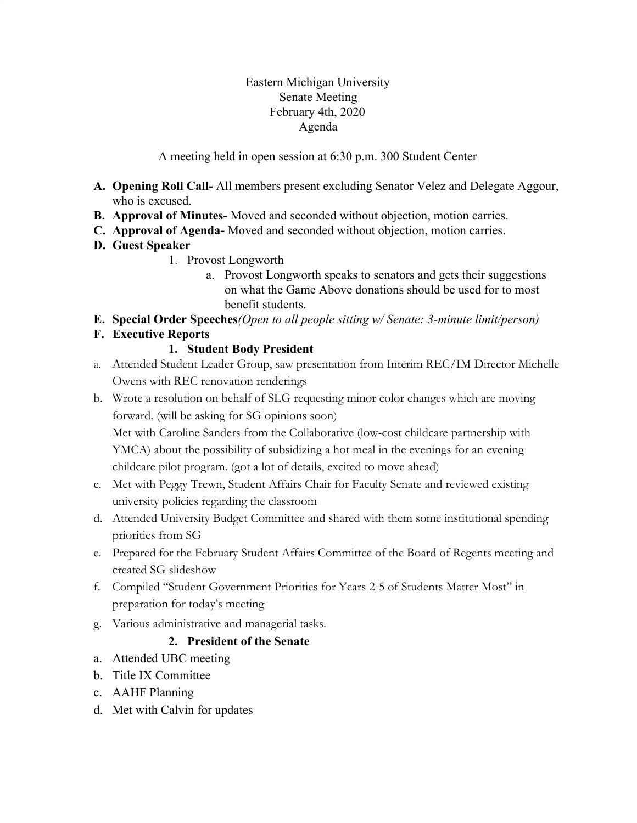#### Eastern Michigan University Senate Meeting February 4th, 2020 Agenda

A meeting held in open session at 6:30 p.m. 300 Student Center

- **A. Opening Roll Call-** All members present excluding Senator Velez and Delegate Aggour, who is excused.
- **B. Approval of Minutes-** Moved and seconded without objection, motion carries.
- **C. Approval of Agenda-** Moved and seconded without objection, motion carries.
- **D. Guest Speaker**
	- 1. Provost Longworth
		- a. Provost Longworth speaks to senators and gets their suggestions on what the Game Above donations should be used for to most benefit students.
- **E. Special Order Speeches***(Open to all people sitting w/ Senate: 3-minute limit/person)*

# **F. Executive Reports**

## **1. Student Body President**

- a. Attended Student Leader Group, saw presentation from Interim REC/IM Director Michelle Owens with REC renovation renderings
- b. Wrote a resolution on behalf of SLG requesting minor color changes which are moving forward. (will be asking for SG opinions soon)

Met with Caroline Sanders from the Collaborative (low-cost childcare partnership with YMCA) about the possibility of subsidizing a hot meal in the evenings for an evening childcare pilot program. (got a lot of details, excited to move ahead)

- c. Met with Peggy Trewn, Student Affairs Chair for Faculty Senate and reviewed existing university policies regarding the classroom
- d. Attended University Budget Committee and shared with them some institutional spending priorities from SG
- e. Prepared for the February Student Affairs Committee of the Board of Regents meeting and created SG slideshow
- f. Compiled "Student Government Priorities for Years 2-5 of Students Matter Most" in preparation for today's meeting
- g. Various administrative and managerial tasks.

# **2. President of the Senate**

- a. Attended UBC meeting
- b. Title IX Committee
- c. AAHF Planning
- d. Met with Calvin for updates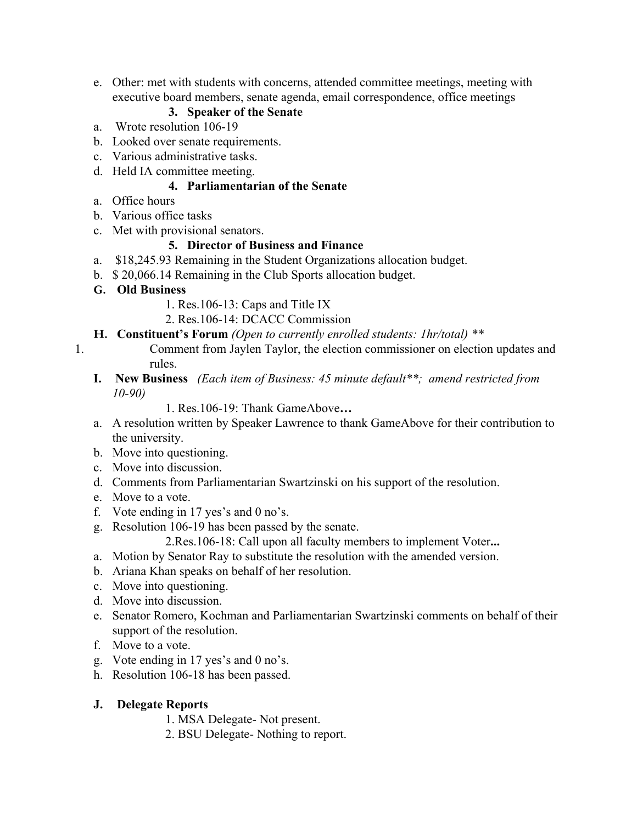e. Other: met with students with concerns, attended committee meetings, meeting with executive board members, senate agenda, email correspondence, office meetings

### **3. Speaker of the Senate**

- a. Wrote resolution 106-19
- b. Looked over senate requirements.
- c. Various administrative tasks.
- d. Held IA committee meeting.

### **4. Parliamentarian of the Senate**

- a. Office hours
- b. Various office tasks
- c. Met with provisional senators.

## **5. Director of Business and Finance**

- a. \$18,245.93 Remaining in the Student Organizations allocation budget.
- b. \$ 20,066.14 Remaining in the Club Sports allocation budget.
- **G. Old Business**
	- 1. Res.106-13: Caps and Title IX
	- 2. Res.106-14: DCACC Commission
- **H. Constituent's Forum** *(Open to currently enrolled students: 1hr/total) \*\**
- 1. Comment from Jaylen Taylor, the election commissioner on election updates and rules.
	- **I. New Business** *(Each item of Business: 45 minute default\*\*; amend restricted from 10-90)*

1. Res.106-19: Thank GameAbove**…**

- a. A resolution written by Speaker Lawrence to thank GameAbove for their contribution to the university.
- b. Move into questioning.
- c. Move into discussion.
- d. Comments from Parliamentarian Swartzinski on his support of the resolution.
- e. Move to a vote.
- f. Vote ending in 17 yes's and 0 no's.
- g. Resolution 106-19 has been passed by the senate.

2.Res.106-18: Call upon all faculty members to implement Voter**...**

- a. Motion by Senator Ray to substitute the resolution with the amended version.
- b. Ariana Khan speaks on behalf of her resolution.
- c. Move into questioning.
- d. Move into discussion.
- e. Senator Romero, Kochman and Parliamentarian Swartzinski comments on behalf of their support of the resolution.
- f. Move to a vote.
- g. Vote ending in 17 yes's and 0 no's.
- h. Resolution 106-18 has been passed.
- **J. Delegate Reports**
	- 1. MSA Delegate- Not present.
	- 2. BSU Delegate- Nothing to report.